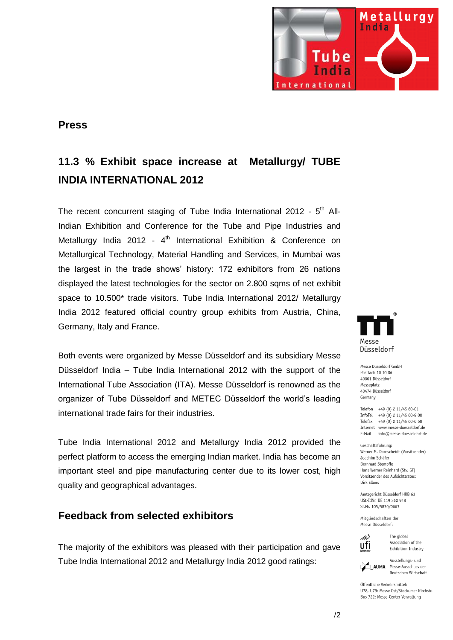

### **Press**

# **11.3 % Exhibit space increase at Metallurgy/ TUBE INDIA INTERNATIONAL 2012**

The recent concurrent staging of Tube India International 2012 -  $5<sup>th</sup>$  All-Indian Exhibition and Conference for the Tube and Pipe Industries and Metallurgy India 2012 -  $4^{\text{th}}$  International Exhibition & Conference on Metallurgical Technology, Material Handling and Services, in Mumbai was the largest in the trade shows' history: 172 exhibitors from 26 nations displayed the latest technologies for the sector on 2.800 sqms of net exhibit space to 10.500\* trade visitors. Tube India International 2012/ Metallurgy India 2012 featured official country group exhibits from Austria, China, Germany, Italy and France.

Both events were organized by Messe Düsseldorf and its subsidiary Messe Düsseldorf India – Tube India International 2012 with the support of the International Tube Association (ITA). Messe Düsseldorf is renowned as the organizer of Tube Düsseldorf and METEC Düsseldorf the world's leading international trade fairs for their industries.

Tube India International 2012 and Metallurgy India 2012 provided the perfect platform to access the emerging Indian market. India has become an important steel and pipe manufacturing center due to its lower cost, high quality and geographical advantages.

## **Feedback from selected exhibitors**

The majority of the exhibitors was pleased with their participation and gave Tube India International 2012 and Metallurgy India 2012 good ratings:



Mosso Diisseldorf GmbH Postfach 10 10 06 40001 Düsseldorf Messeplatz 40474 Düsseldorf Germany

Telefon +49 (0) 2 11/45 60-01  $InfoTeI + 49(0) 2 11/45 60-9 00$ Telefax +49 (0) 2 11/45 60-6 68 Internet www.messe-duesseldorf.de E-Mail info@messe-duesseldorf.de

Geschäftsführung: Werner M. Dornscheidt (Vorsitzender) Joachim Schäfer Bernhard Stempfle Hans Werner Reinhard (Stv. GF) Vorsitzender des Aufsichtsrates: Dirk Elbers

Amtsgericht Düsseldorf HRB 63 USt-IdNr. DE 119 360 948 St.Nr. 105/5830/0663

Mitgliedschaften der Messe Düsseldorf:



The global Association of the Exhibition Industry



Ausstellungs- und **AUMA** Messe-Ausschuss der Deutschen Wirtschaft

Öffentliche Verkehrsmittel: U78, U79: Messe Ost/Stockumer Kirchstr. Bus 722: Messe-Center Verwaltung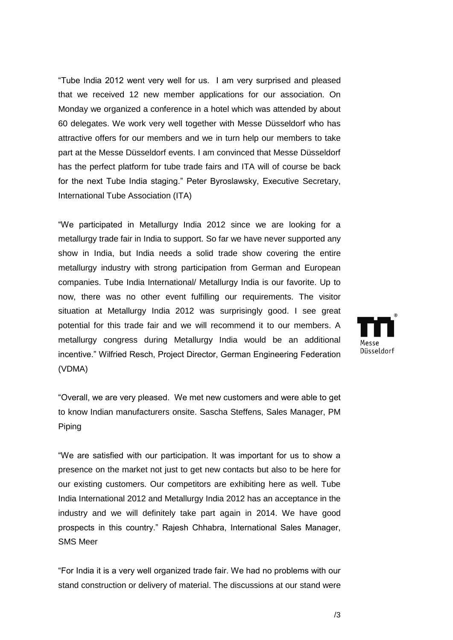"Tube India 2012 went very well for us. I am very surprised and pleased that we received 12 new member applications for our association. On Monday we organized a conference in a hotel which was attended by about 60 delegates. We work very well together with Messe Düsseldorf who has attractive offers for our members and we in turn help our members to take part at the Messe Düsseldorf events. I am convinced that Messe Düsseldorf has the perfect platform for tube trade fairs and ITA will of course be back for the next Tube India staging." Peter Byroslawsky, Executive Secretary, International Tube Association (ITA)

"We participated in Metallurgy India 2012 since we are looking for a metallurgy trade fair in India to support. So far we have never supported any show in India, but India needs a solid trade show covering the entire metallurgy industry with strong participation from German and European companies. Tube India International/ Metallurgy India is our favorite. Up to now, there was no other event fulfilling our requirements. The visitor situation at Metallurgy India 2012 was surprisingly good. I see great potential for this trade fair and we will recommend it to our members. A metallurgy congress during Metallurgy India would be an additional incentive." Wilfried Resch, Project Director, German Engineering Federation (VDMA)

"Overall, we are very pleased. We met new customers and were able to get to know Indian manufacturers onsite. Sascha Steffens, Sales Manager, PM Piping

"We are satisfied with our participation. It was important for us to show a presence on the market not just to get new contacts but also to be here for our existing customers. Our competitors are exhibiting here as well. Tube India International 2012 and Metallurgy India 2012 has an acceptance in the industry and we will definitely take part again in 2014. We have good prospects in this country." Rajesh Chhabra, International Sales Manager, SMS Meer

"For India it is a very well organized trade fair. We had no problems with our stand construction or delivery of material. The discussions at our stand were

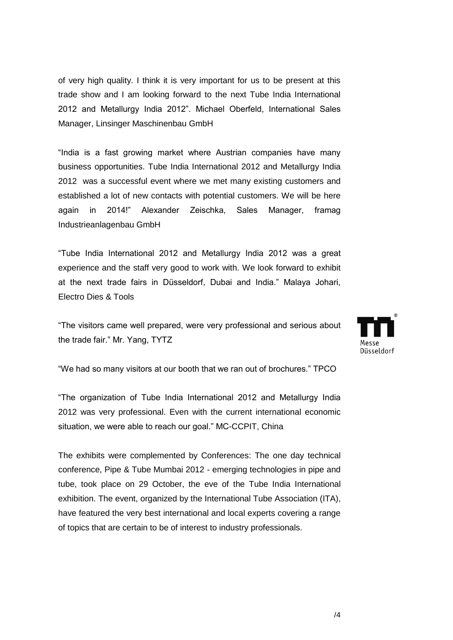of very high quality. I think it is very important for us to be present at this trade show and I am looking forward to the next Tube India International 2012 and Metallurgy India 2012". Michael Oberfeld, International Sales Manager, Linsinger Maschinenbau GmbH

"India is a fast growing market where Austrian companies have many business opportunities. Tube India International 2012 and Metallurgy India 2012 was a successful event where we met many existing customers and established a lot of new contacts with potential customers. We will be here again in 2014!" Alexander Zeischka, Sales Manager, framag Industrieanlagenbau GmbH

"Tube India International 2012 and Metallurgy India 2012 was a great experience and the staff very good to work with. We look forward to exhibit at the next trade fairs in Düsseldorf, Dubai and India." Malaya Johari, Electro Dies & Tools

"The visitors came well prepared, were very professional and serious about the trade fair." Mr. Yang, TYTZ



"We had so many visitors at our booth that we ran out of brochures." TPCO

"The organization of Tube India International 2012 and Metallurgy India 2012 was very professional. Even with the current international economic situation, we were able to reach our goal." MC-CCPIT, China

The exhibits were complemented by Conferences: The one day technical conference, Pipe & Tube Mumbai 2012 - emerging technologies in pipe and tube, took place on 29 October, the eve of the Tube India International exhibition. The event, organized by the International Tube Association (ITA), have featured the very best international and local experts covering a range of topics that are certain to be of interest to industry professionals.